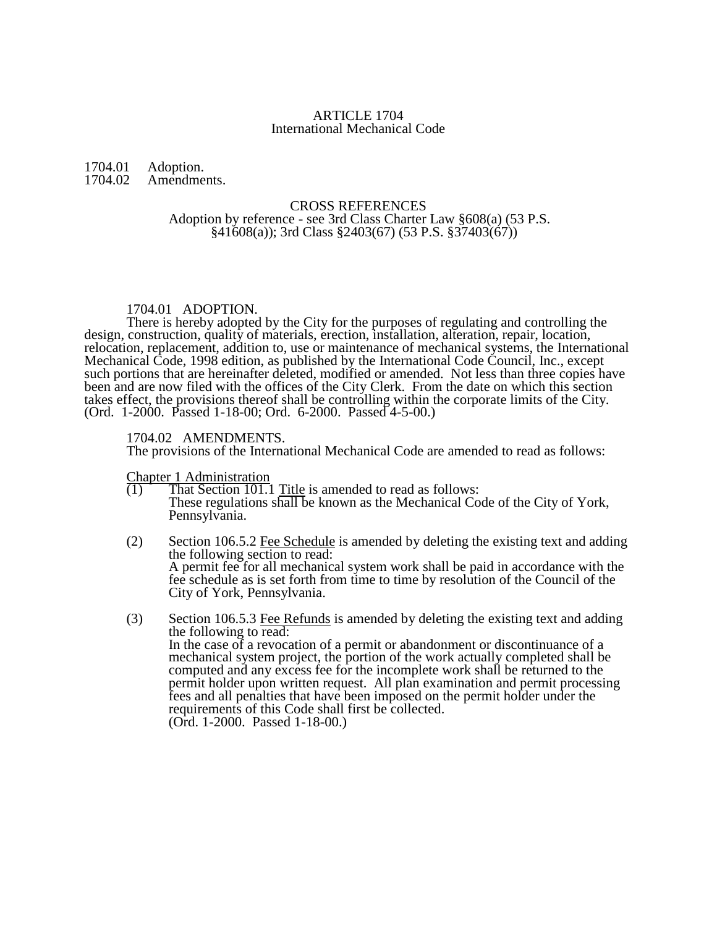## ARTICLE 1704 International Mechanical Code

#### 1704.01 Adoption.<br>1704.02 Amendme Amendments.

#### CROSS REFERENCES Adoption by reference - see 3rd Class Charter Law §608(a) (53 P.S.  $§41608(a)$ ; 3rd Class  $§2403(67)$  (53 P.S.  $§37403(67)$ )

# 1704.01 ADOPTION.

There is hereby adopted by the City for the purposes of regulating and controlling the design, construction, quality of materials, erection, installation, alteration, repair, location, relocation, replacement, addition to, use or maintenance of mechanical systems, the International Mechanical Code, 1998 edition, as published by the International Code Council, Inc., except such portions that are hereinafter deleted, modified or amended. Not less than three copies have been and are now filed with the offices of the City Clerk. From the date on which this section takes effect, the provisions thereof shall be controlling within the corporate limits of the City. (Ord. 1-2000. Passed 1-18-00; Ord. 6-2000. Passed 4-5-00.)

### 1704.02 AMENDMENTS.

The provisions of the International Mechanical Code are amended to read as follows:

Chapter 1 Administration

- $(1)$  That Section 101.1 Title is amended to read as follows: These regulations shall be known as the Mechanical Code of the City of York, Pennsylvania.
- (2) Section 106.5.2 Fee Schedule is amended by deleting the existing text and adding the following section to read: A permit fee for all mechanical system work shall be paid in accordance with the fee schedule as is set forth from time to time by resolution of the Council of the City of York, Pennsylvania.
- (3) Section 106.5.3 Fee Refunds is amended by deleting the existing text and adding the following to read: In the case of a revocation of a permit or abandonment or discontinuance of a mechanical system project, the portion of the work actually completed shall be computed and any excess fee for the incomplete work shall be returned to the permit holder upon written request. All plan examination and permit processing fees and all penalties that have been imposed on the permit holder under the requirements of this Code shall first be collected. (Ord. 1-2000. Passed 1-18-00.)